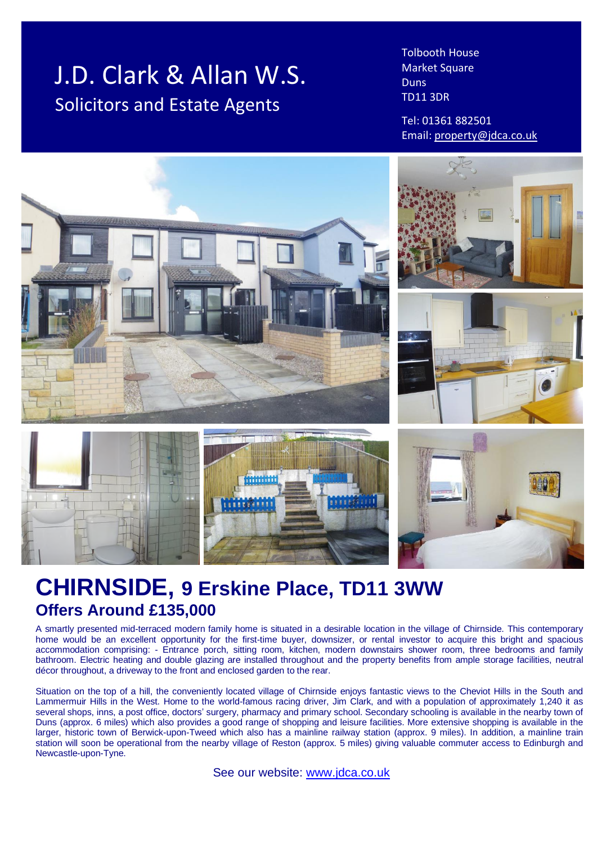# J.D. Clark & Allan W.S. Solicitors and Estate Agents

Tolbooth House Market Square **Duns** TD11 3DR

Tel: 01361 882501 Email: [property@jdca.co.uk](mailto:property@jdca.co.uk)



## **CHIRNSIDE, 9 Erskine Place, TD11 3WW Offers Around £135,000**

A smartly presented mid-terraced modern family home is situated in a desirable location in the village of Chirnside. This contemporary home would be an excellent opportunity for the first-time buyer, downsizer, or rental investor to acquire this bright and spacious accommodation comprising: - Entrance porch, sitting room, kitchen, modern downstairs shower room, three bedrooms and family bathroom. Electric heating and double glazing are installed throughout and the property benefits from ample storage facilities, neutral décor throughout, a driveway to the front and enclosed garden to the rear.

Situation on the top of a hill, the conveniently located village of Chirnside enjoys fantastic views to the Cheviot Hills in the South and Lammermuir Hills in the West. Home to the world-famous racing driver, Jim Clark, and with a population of approximately 1,240 it as several shops, inns, a post office, doctors' surgery, pharmacy and primary school. Secondary schooling is available in the nearby town of Duns (approx. 6 miles) which also provides a good range of shopping and leisure facilities. More extensive shopping is available in the larger, historic town of Berwick-upon-Tweed which also has a mainline railway station (approx. 9 miles). In addition, a mainline train station will soon be operational from the nearby village of Reston (approx. 5 miles) giving valuable commuter access to Edinburgh and Newcastle-upon-Tyne.

See our website: [www.jdca.co.uk](http://www.jdca.co.uk/)